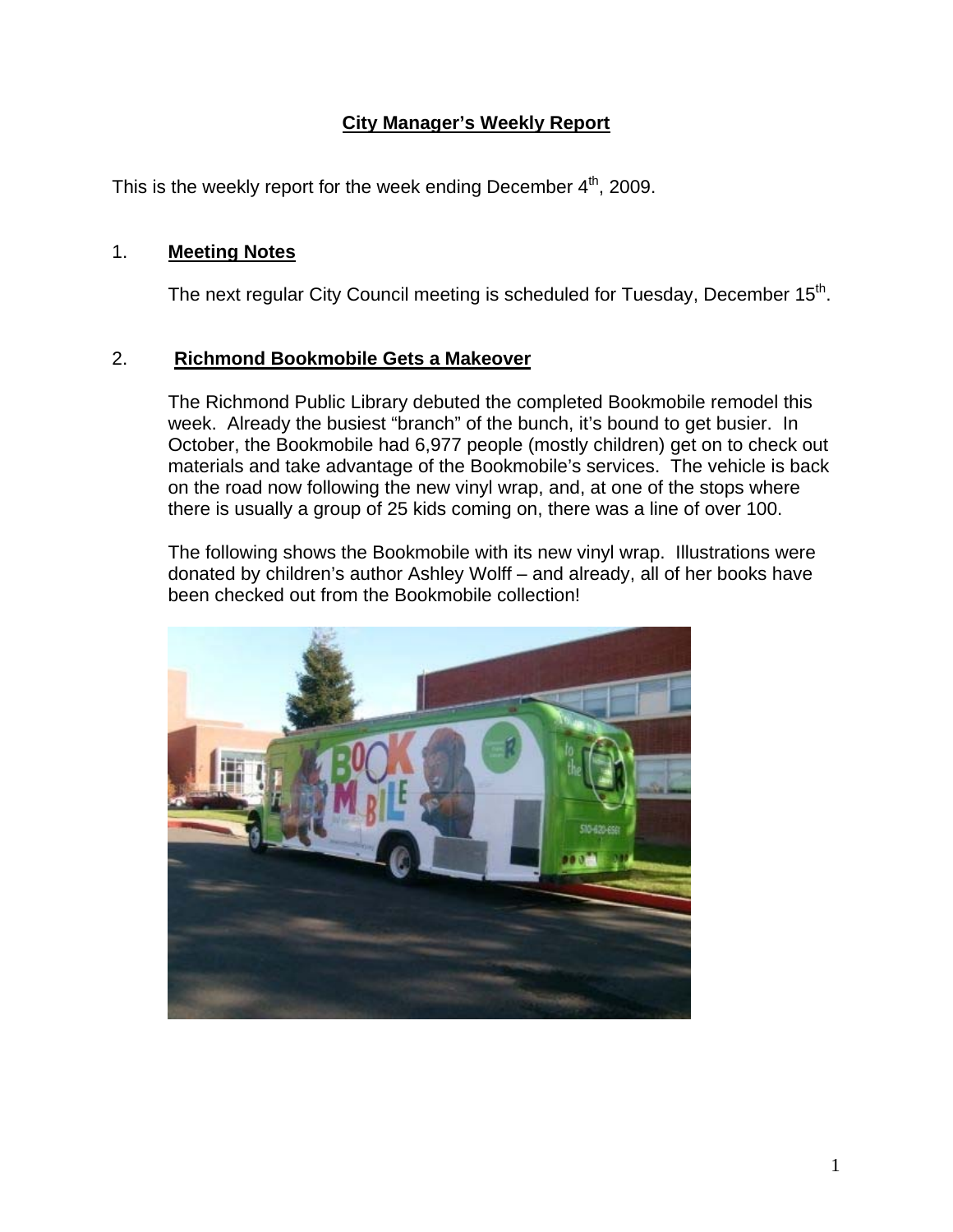# **City Manager's Weekly Report**

This is the weekly report for the week ending December  $4<sup>th</sup>$ , 2009.

#### 1. **Meeting Notes**

The next regular City Council meeting is scheduled for Tuesday, December  $15<sup>th</sup>$ .

## 2. **Richmond Bookmobile Gets a Makeover**

The Richmond Public Library debuted the completed Bookmobile remodel this week. Already the busiest "branch" of the bunch, it's bound to get busier. In October, the Bookmobile had 6,977 people (mostly children) get on to check out materials and take advantage of the Bookmobile's services. The vehicle is back on the road now following the new vinyl wrap, and, at one of the stops where there is usually a group of 25 kids coming on, there was a line of over 100.

The following shows the Bookmobile with its new vinyl wrap. Illustrations were donated by children's author Ashley Wolff – and already, all of her books have been checked out from the Bookmobile collection!

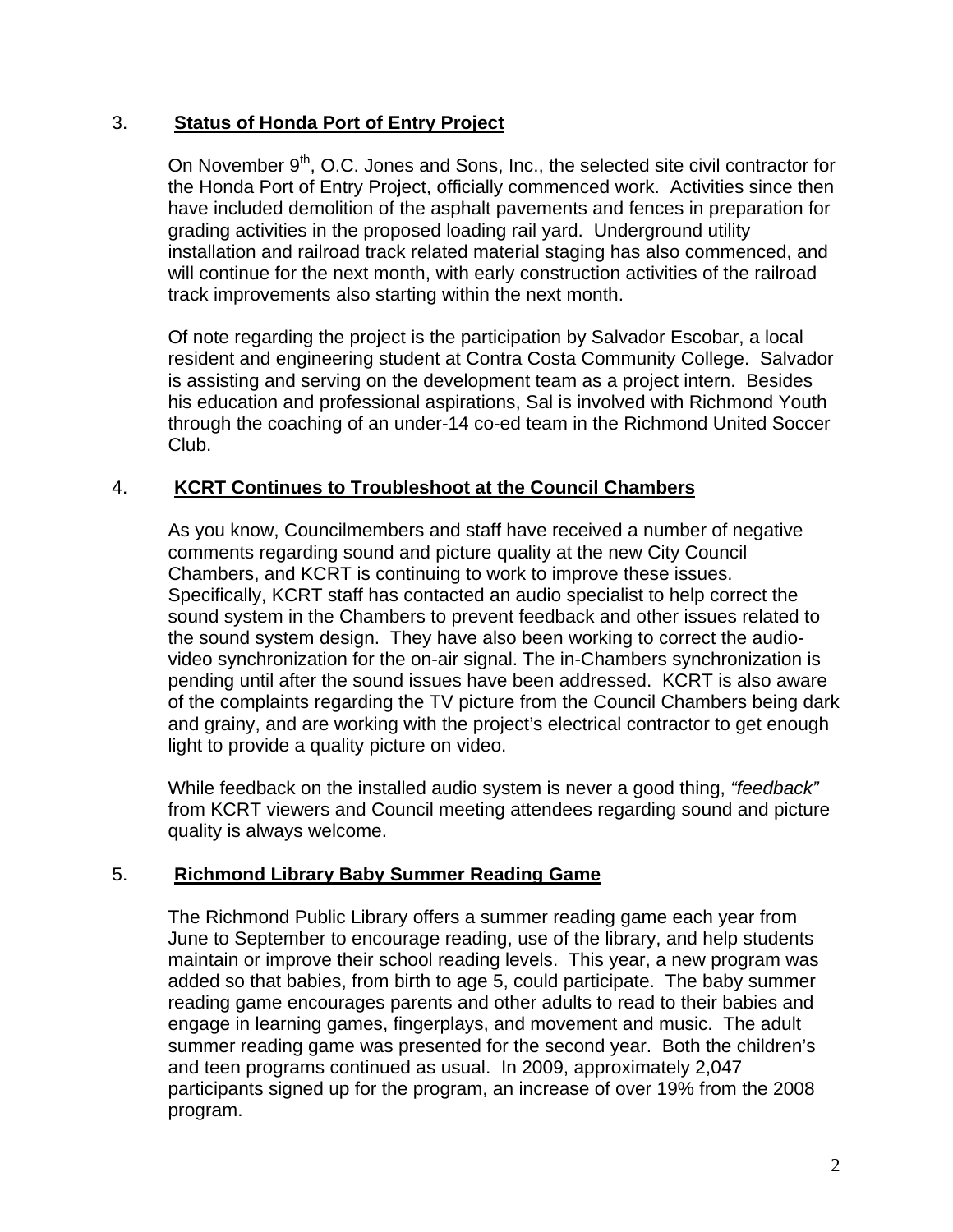## 3. **Status of Honda Port of Entry Project**

On November 9<sup>th</sup>, O.C. Jones and Sons, Inc., the selected site civil contractor for the Honda Port of Entry Project, officially commenced work. Activities since then have included demolition of the asphalt pavements and fences in preparation for grading activities in the proposed loading rail yard. Underground utility installation and railroad track related material staging has also commenced, and will continue for the next month, with early construction activities of the railroad track improvements also starting within the next month.

Of note regarding the project is the participation by Salvador Escobar, a local resident and engineering student at Contra Costa Community College. Salvador is assisting and serving on the development team as a project intern. Besides his education and professional aspirations, Sal is involved with Richmond Youth through the coaching of an under-14 co-ed team in the Richmond United Soccer Club.

## 4. **KCRT Continues to Troubleshoot at the Council Chambers**

As you know, Councilmembers and staff have received a number of negative comments regarding sound and picture quality at the new City Council Chambers, and KCRT is continuing to work to improve these issues. Specifically, KCRT staff has contacted an audio specialist to help correct the sound system in the Chambers to prevent feedback and other issues related to the sound system design. They have also been working to correct the audiovideo synchronization for the on-air signal. The in-Chambers synchronization is pending until after the sound issues have been addressed. KCRT is also aware of the complaints regarding the TV picture from the Council Chambers being dark and grainy, and are working with the project's electrical contractor to get enough light to provide a quality picture on video.

While feedback on the installed audio system is never a good thing, *"feedback"* from KCRT viewers and Council meeting attendees regarding sound and picture quality is always welcome.

#### 5. **Richmond Library Baby Summer Reading Game**

The Richmond Public Library offers a summer reading game each year from June to September to encourage reading, use of the library, and help students maintain or improve their school reading levels. This year, a new program was added so that babies, from birth to age 5, could participate. The baby summer reading game encourages parents and other adults to read to their babies and engage in learning games, fingerplays, and movement and music. The adult summer reading game was presented for the second year. Both the children's and teen programs continued as usual. In 2009, approximately 2,047 participants signed up for the program, an increase of over 19% from the 2008 program.